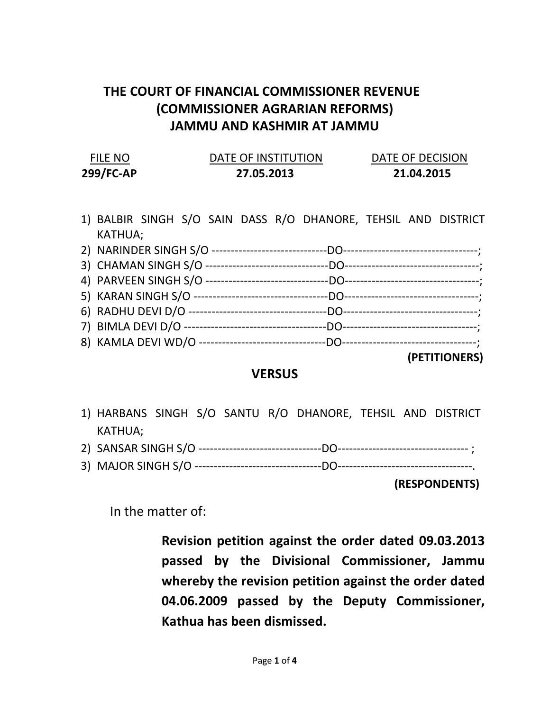## THE COURT OF FINANCIAL COMMISSIONER REVENUE (COMMISSIONER AGRARIAN REFORMS) JAMMU AND KASHMIR AT JAMMU

| <b>FILE NO</b> | DATE OF INSTITUTION | DATE OF DECISION |
|----------------|---------------------|------------------|
| 299/FC-AP      | 27.05.2013          | 21.04.2015       |

1) BALBIR SINGH S/O SAIN DASS R/O DHANORE, TEHSIL AND DISTRICT KATHUA; 2) NARINDER SINGH S/O ------------------------------DO-----------------------------------; 3) CHAMAN SINGH S/O --------------------------------DO-----------------------------------;

(PETITIONERS)

## **VERSUS**

- 1) HARBANS SINGH S/O SANTU R/O DHANORE, TEHSIL AND DISTRICT KATHUA;
- 2) SANSAR SINGH S/O --------------------------------DO---------------------------------- ;
- 3) MAJOR SINGH S/O ---------------------------------DO-----------------------------------.

(RESPONDENTS)

In the matter of:

Revision petition against the order dated 09.03.2013 passed by the Divisional Commissioner, Jammu whereby the revision petition against the order dated 04.06.2009 passed by the Deputy Commissioner, Kathua has been dismissed.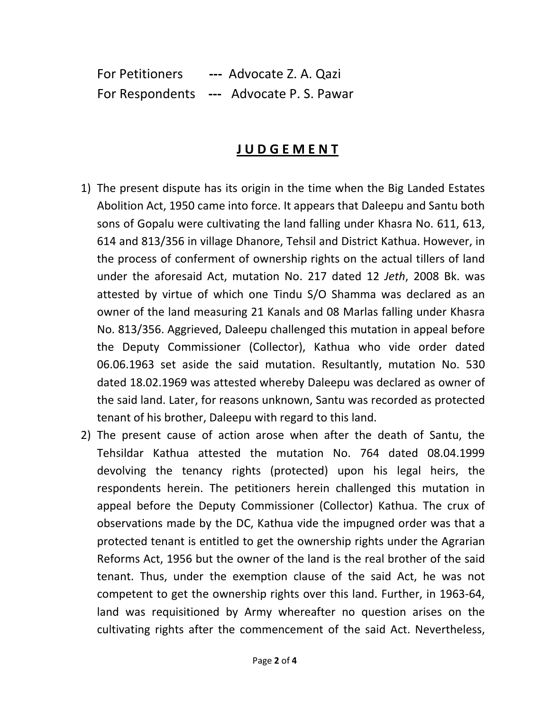For Petitioners --- Advocate Z. A. Qazi For Respondents --- Advocate P. S. Pawar

## J U D G E M E N T

- 1) The present dispute has its origin in the time when the Big Landed Estates Abolition Act, 1950 came into force. It appears that Daleepu and Santu both sons of Gopalu were cultivating the land falling under Khasra No. 611, 613, 614 and 813/356 in village Dhanore, Tehsil and District Kathua. However, in the process of conferment of ownership rights on the actual tillers of land under the aforesaid Act, mutation No. 217 dated 12 Jeth, 2008 Bk. was attested by virtue of which one Tindu S/O Shamma was declared as an owner of the land measuring 21 Kanals and 08 Marlas falling under Khasra No. 813/356. Aggrieved, Daleepu challenged this mutation in appeal before the Deputy Commissioner (Collector), Kathua who vide order dated 06.06.1963 set aside the said mutation. Resultantly, mutation No. 530 dated 18.02.1969 was attested whereby Daleepu was declared as owner of the said land. Later, for reasons unknown, Santu was recorded as protected tenant of his brother, Daleepu with regard to this land.
- 2) The present cause of action arose when after the death of Santu, the Tehsildar Kathua attested the mutation No. 764 dated 08.04.1999 devolving the tenancy rights (protected) upon his legal heirs, the respondents herein. The petitioners herein challenged this mutation in appeal before the Deputy Commissioner (Collector) Kathua. The crux of observations made by the DC, Kathua vide the impugned order was that a protected tenant is entitled to get the ownership rights under the Agrarian Reforms Act, 1956 but the owner of the land is the real brother of the said tenant. Thus, under the exemption clause of the said Act, he was not competent to get the ownership rights over this land. Further, in 1963-64, land was requisitioned by Army whereafter no question arises on the cultivating rights after the commencement of the said Act. Nevertheless,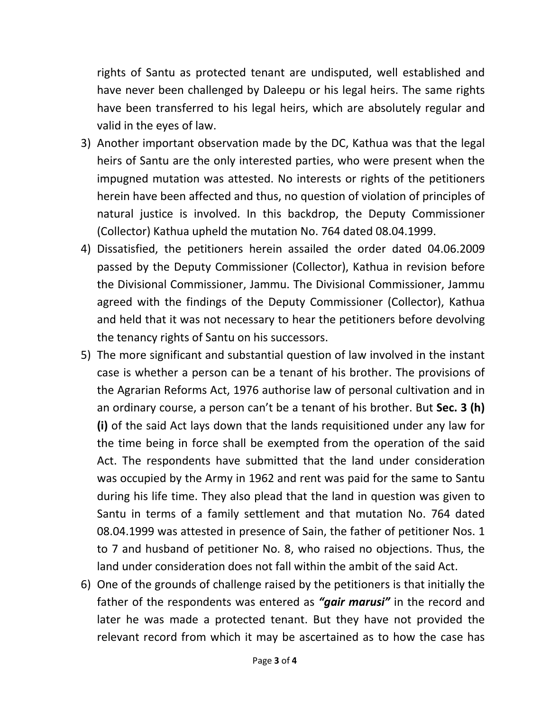rights of Santu as protected tenant are undisputed, well established and have never been challenged by Daleepu or his legal heirs. The same rights have been transferred to his legal heirs, which are absolutely regular and valid in the eyes of law.

- 3) Another important observation made by the DC, Kathua was that the legal heirs of Santu are the only interested parties, who were present when the impugned mutation was attested. No interests or rights of the petitioners herein have been affected and thus, no question of violation of principles of natural justice is involved. In this backdrop, the Deputy Commissioner (Collector) Kathua upheld the mutation No. 764 dated 08.04.1999.
- 4) Dissatisfied, the petitioners herein assailed the order dated 04.06.2009 passed by the Deputy Commissioner (Collector), Kathua in revision before the Divisional Commissioner, Jammu. The Divisional Commissioner, Jammu agreed with the findings of the Deputy Commissioner (Collector), Kathua and held that it was not necessary to hear the petitioners before devolving the tenancy rights of Santu on his successors.
- 5) The more significant and substantial question of law involved in the instant case is whether a person can be a tenant of his brother. The provisions of the Agrarian Reforms Act, 1976 authorise law of personal cultivation and in an ordinary course, a person can't be a tenant of his brother. But Sec. 3 (h) (i) of the said Act lays down that the lands requisitioned under any law for the time being in force shall be exempted from the operation of the said Act. The respondents have submitted that the land under consideration was occupied by the Army in 1962 and rent was paid for the same to Santu during his life time. They also plead that the land in question was given to Santu in terms of a family settlement and that mutation No. 764 dated 08.04.1999 was attested in presence of Sain, the father of petitioner Nos. 1 to 7 and husband of petitioner No. 8, who raised no objections. Thus, the land under consideration does not fall within the ambit of the said Act.
- 6) One of the grounds of challenge raised by the petitioners is that initially the father of the respondents was entered as "gair marusi" in the record and later he was made a protected tenant. But they have not provided the relevant record from which it may be ascertained as to how the case has